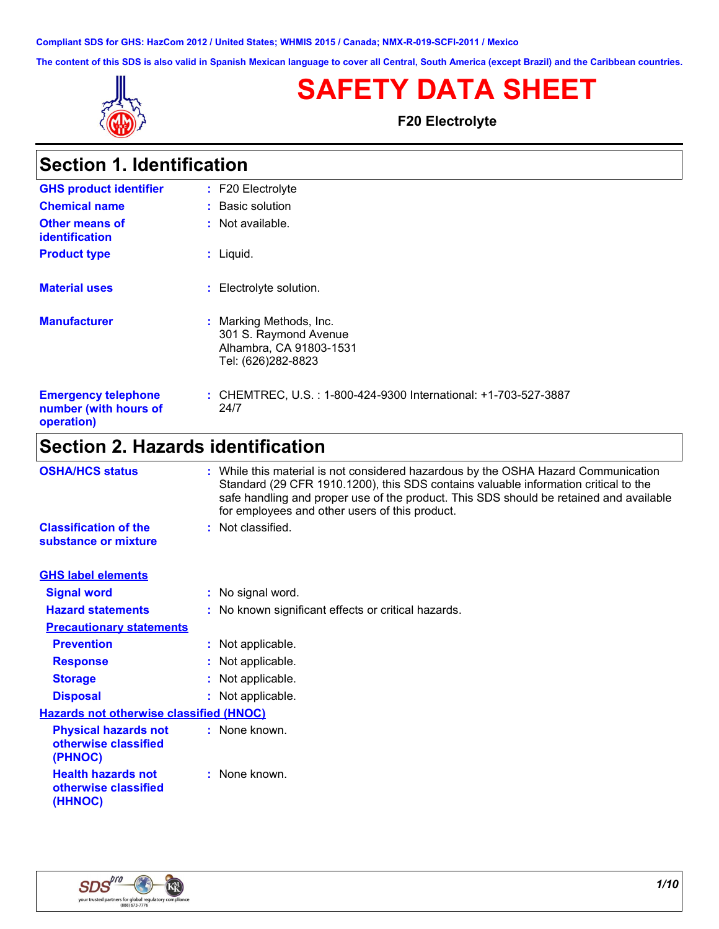**Compliant SDS for GHS: HazCom 2012 / United States; WHMIS 2015 / Canada; NMX-R-019-SCFI-2011 / Mexico**

**The content of this SDS is also valid in Spanish Mexican language to cover all Central, South America (except Brazil) and the Caribbean countries.**



г

# **SAFETY DATA SHEET**

**F20 Electrolyte**

| <b>Section 1. Identification</b>                                  |                                                                                                   |
|-------------------------------------------------------------------|---------------------------------------------------------------------------------------------------|
| <b>GHS product identifier</b>                                     | $: F20$ Electrolyte                                                                               |
| <b>Chemical name</b>                                              | : Basic solution                                                                                  |
| Other means of<br><b>identification</b>                           | $:$ Not available.                                                                                |
| <b>Product type</b>                                               | $:$ Liquid.                                                                                       |
| <b>Material uses</b>                                              | : Electrolyte solution.                                                                           |
| <b>Manufacturer</b>                                               | : Marking Methods, Inc.<br>301 S. Raymond Avenue<br>Alhambra, CA 91803-1531<br>Tel: (626)282-8823 |
| <b>Emergency telephone</b><br>number (with hours of<br>operation) | : CHEMTREC, U.S. : 1-800-424-9300 International: +1-703-527-3887<br>24/7                          |
|                                                                   |                                                                                                   |

# **Section 2. Hazards identification**

| <b>OSHA/HCS status</b>                                         | : While this material is not considered hazardous by the OSHA Hazard Communication<br>Standard (29 CFR 1910.1200), this SDS contains valuable information critical to the<br>safe handling and proper use of the product. This SDS should be retained and available<br>for employees and other users of this product. |
|----------------------------------------------------------------|-----------------------------------------------------------------------------------------------------------------------------------------------------------------------------------------------------------------------------------------------------------------------------------------------------------------------|
| <b>Classification of the</b><br>substance or mixture           | : Not classified.                                                                                                                                                                                                                                                                                                     |
| <b>GHS label elements</b>                                      |                                                                                                                                                                                                                                                                                                                       |
| <b>Signal word</b>                                             | : No signal word.                                                                                                                                                                                                                                                                                                     |
| <b>Hazard statements</b>                                       | : No known significant effects or critical hazards.                                                                                                                                                                                                                                                                   |
| <b>Precautionary statements</b>                                |                                                                                                                                                                                                                                                                                                                       |
| <b>Prevention</b>                                              | : Not applicable.                                                                                                                                                                                                                                                                                                     |
| <b>Response</b>                                                | : Not applicable.                                                                                                                                                                                                                                                                                                     |
| <b>Storage</b>                                                 | : Not applicable.                                                                                                                                                                                                                                                                                                     |
| <b>Disposal</b>                                                | : Not applicable.                                                                                                                                                                                                                                                                                                     |
| <b>Hazards not otherwise classified (HNOC)</b>                 |                                                                                                                                                                                                                                                                                                                       |
| <b>Physical hazards not</b><br>otherwise classified<br>(PHNOC) | : None known.                                                                                                                                                                                                                                                                                                         |
| <b>Health hazards not</b><br>otherwise classified<br>(HHNOC)   | : None known.                                                                                                                                                                                                                                                                                                         |

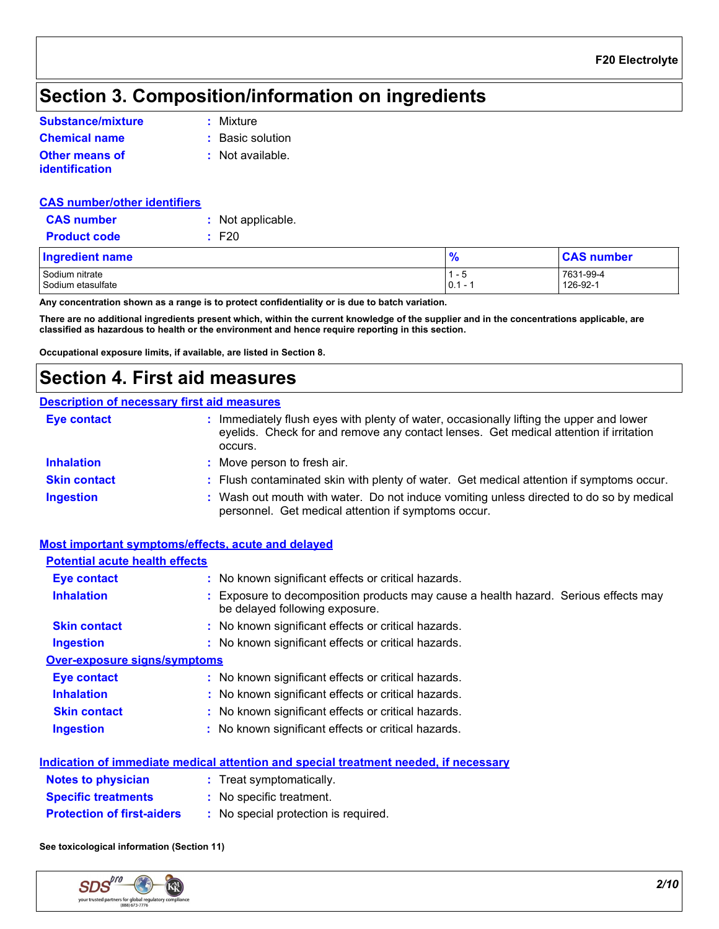# **Section 3. Composition/information on ingredients**

| Substance/mixture                | : Mixture          |
|----------------------------------|--------------------|
| <b>Chemical name</b>             | : Basic solution   |
| Other means of<br>identification | $:$ Not available. |

| <b>CAS number/other identifiers</b> |                   |
|-------------------------------------|-------------------|
| <b>CAS</b> number                   | : Not applicable. |
| <b>Product code</b>                 | $\pm$ F20         |
|                                     |                   |

 $\sim$  Sodium nitrate 1 - 5  $\sim$  7631-99-4  $\sim$  7631-99-4  $\sim$  7631-99-4  $\sim$  7631-99-4  $\sim$  7631-99-4  $\sim$ Sodium etasulfate 126-92-1 126-92-1 126-92-1 126-92-1 126-92-1 126-92-1 126-92-1 126-92-1 126-92-1 126-92-1 126-92-1 126-92-1 126-92-1 126-92-1 126-92-1 126-92-1 126-92-1 126-92-1 126-92-1 126-92-1 126-92-1 126-92-1 126-92 **Ingredient name % CAS number**

**Any concentration shown as a range is to protect confidentiality or is due to batch variation.**

**There are no additional ingredients present which, within the current knowledge of the supplier and in the concentrations applicable, are classified as hazardous to health or the environment and hence require reporting in this section.**

**Occupational exposure limits, if available, are listed in Section 8.**

# **Section 4. First aid measures**

### **Description of necessary first aid measures**

| <b>Eye contact</b>  | Immediately flush eyes with plenty of water, occasionally lifting the upper and lower<br>eyelids. Check for and remove any contact lenses. Get medical attention if irritation<br>occurs. |
|---------------------|-------------------------------------------------------------------------------------------------------------------------------------------------------------------------------------------|
| <b>Inhalation</b>   | : Move person to fresh air.                                                                                                                                                               |
| <b>Skin contact</b> | : Flush contaminated skin with plenty of water. Get medical attention if symptoms occur.                                                                                                  |
| <b>Ingestion</b>    | : Wash out mouth with water. Do not induce vomiting unless directed to do so by medical<br>personnel. Get medical attention if symptoms occur.                                            |

### **Most important symptoms/effects, acute and delayed**

| <b>Potential acute health effects</b> |                                                                                                                       |
|---------------------------------------|-----------------------------------------------------------------------------------------------------------------------|
| <b>Eye contact</b>                    | : No known significant effects or critical hazards.                                                                   |
| <b>Inhalation</b>                     | : Exposure to decomposition products may cause a health hazard. Serious effects may<br>be delayed following exposure. |
| <b>Skin contact</b>                   | : No known significant effects or critical hazards.                                                                   |
| <b>Ingestion</b>                      | : No known significant effects or critical hazards.                                                                   |
| <b>Over-exposure signs/symptoms</b>   |                                                                                                                       |
| <b>Eye contact</b>                    | : No known significant effects or critical hazards.                                                                   |
| <b>Inhalation</b>                     | : No known significant effects or critical hazards.                                                                   |
| <b>Skin contact</b>                   | : No known significant effects or critical hazards.                                                                   |
| <b>Ingestion</b>                      | : No known significant effects or critical hazards.                                                                   |
|                                       |                                                                                                                       |

#### **Indication of immediate medical attention and special treatment needed, if necessary**

| <b>Notes to physician</b>         | : Treat symptomatically.             |
|-----------------------------------|--------------------------------------|
| <b>Specific treatments</b>        | : No specific treatment.             |
| <b>Protection of first-aiders</b> | : No special protection is required. |

#### **See toxicological information (Section 11)**

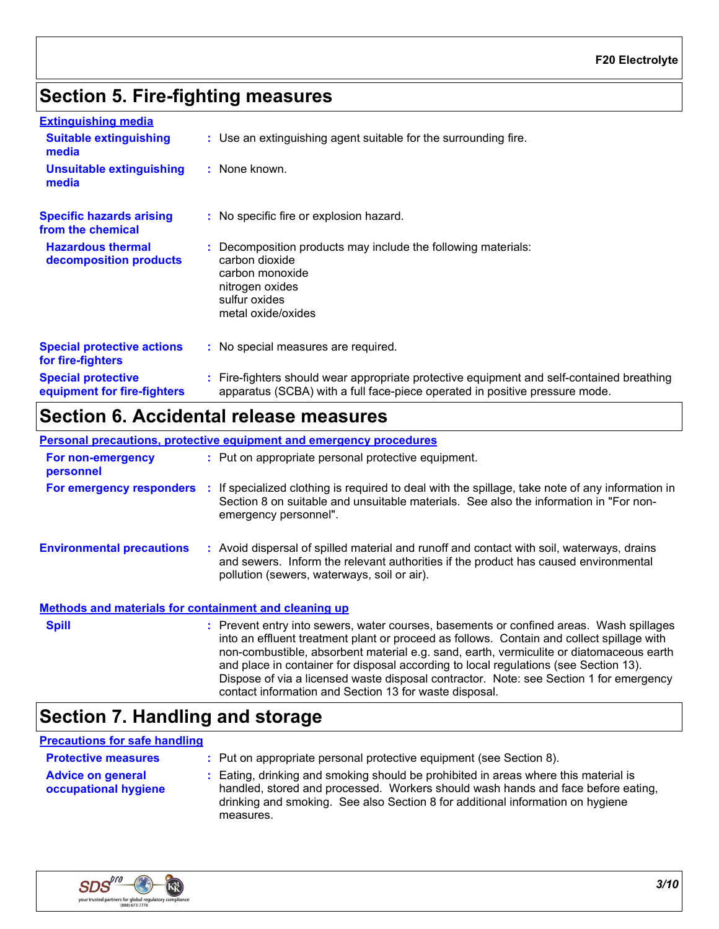# **Section 5. Fire-fighting measures**

| <b>Extinguishing media</b>                               |                                                                                                                                                                          |
|----------------------------------------------------------|--------------------------------------------------------------------------------------------------------------------------------------------------------------------------|
| <b>Suitable extinguishing</b><br>media                   | : Use an extinguishing agent suitable for the surrounding fire.                                                                                                          |
| <b>Unsuitable extinguishing</b><br>media                 | : None known.                                                                                                                                                            |
| <b>Specific hazards arising</b><br>from the chemical     | : No specific fire or explosion hazard.                                                                                                                                  |
| <b>Hazardous thermal</b><br>decomposition products       | : Decomposition products may include the following materials:<br>carbon dioxide<br>carbon monoxide<br>nitrogen oxides<br>sulfur oxides<br>metal oxide/oxides             |
| <b>Special protective actions</b><br>for fire-fighters   | : No special measures are required.                                                                                                                                      |
| <b>Special protective</b><br>equipment for fire-fighters | : Fire-fighters should wear appropriate protective equipment and self-contained breathing<br>apparatus (SCBA) with a full face-piece operated in positive pressure mode. |

## **Section 6. Accidental release measures**

**Environmental precautions Personal precautions, protective equipment and emergency procedures :** Avoid dispersal of spilled material and runoff and contact with soil, waterways, drains **:** Put on appropriate personal protective equipment. and sewers. Inform the relevant authorities if the product has caused environmental pollution (sewers, waterways, soil or air). **Methods and materials for containment and cleaning up For non-emergency personnel For emergency responders :** If specialized clothing is required to deal with the spillage, take note of any information in Section 8 on suitable and unsuitable materials. See also the information in "For nonemergency personnel". **Spill** Somman Supersequent entry into sewers, water courses, basements or confined areas. Wash spillages **seem** in into an effluent treatment plant or proceed as follows. Contain and collect spillage with non-combustible, absorbent material e.g. sand, earth, vermiculite or diatomaceous earth and place in container for disposal according to local regulations (see Section 13). Dispose of via a licensed waste disposal contractor. Note: see Section 1 for emergency contact information and Section 13 for waste disposal.

# **Section 7. Handling and storage**

### **Precautions for safe handling**

| <b>Protective measures</b>                       | : Put on appropriate personal protective equipment (see Section 8).                                                                                                                                                                                                    |
|--------------------------------------------------|------------------------------------------------------------------------------------------------------------------------------------------------------------------------------------------------------------------------------------------------------------------------|
| <b>Advice on general</b><br>occupational hygiene | : Eating, drinking and smoking should be prohibited in areas where this material is<br>handled, stored and processed. Workers should wash hands and face before eating,<br>drinking and smoking. See also Section 8 for additional information on hygiene<br>measures. |

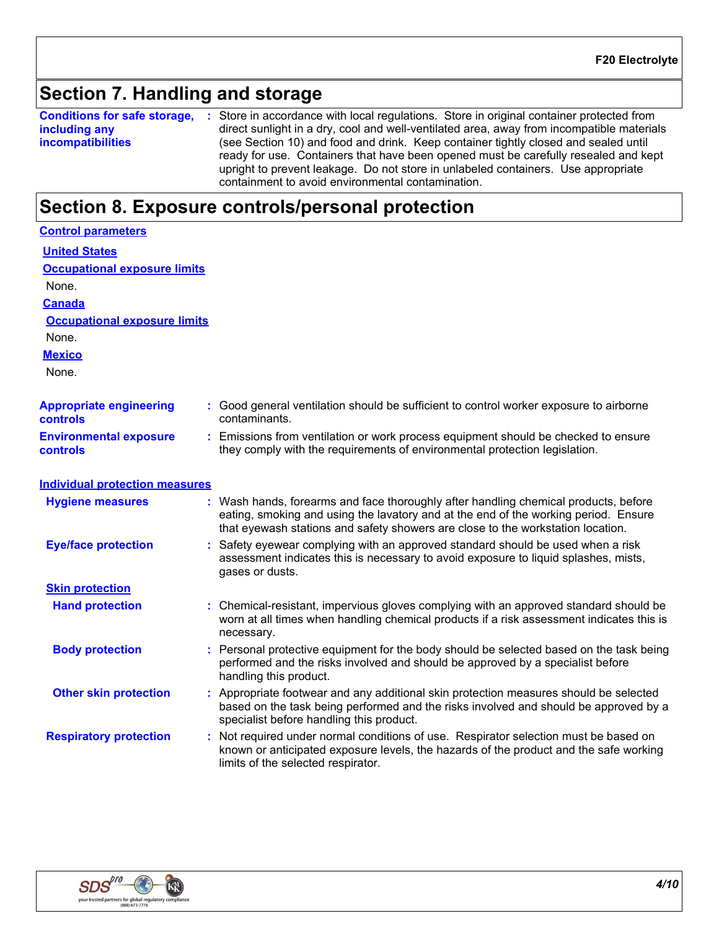# **Section 7. Handling and storage**

**Conditions for safe storage,** : Store in accordance with local regulations. Store in original container protected from **including any incompatibilities** direct sunlight in a dry, cool and well-ventilated area, away from incompatible materials (see Section 10) and food and drink. Keep container tightly closed and sealed until ready for use. Containers that have been opened must be carefully resealed and kept upright to prevent leakage. Do not store in unlabeled containers. Use appropriate containment to avoid environmental contamination.

## **Section 8. Exposure controls/personal protection**

| <b>Control parameters</b>                        |                                                                                                                                                                                                                                                               |
|--------------------------------------------------|---------------------------------------------------------------------------------------------------------------------------------------------------------------------------------------------------------------------------------------------------------------|
| <b>United States</b>                             |                                                                                                                                                                                                                                                               |
| <b>Occupational exposure limits</b>              |                                                                                                                                                                                                                                                               |
| None.                                            |                                                                                                                                                                                                                                                               |
| <b>Canada</b>                                    |                                                                                                                                                                                                                                                               |
| <b>Occupational exposure limits</b>              |                                                                                                                                                                                                                                                               |
| None.                                            |                                                                                                                                                                                                                                                               |
| <b>Mexico</b>                                    |                                                                                                                                                                                                                                                               |
| None.                                            |                                                                                                                                                                                                                                                               |
| <b>Appropriate engineering</b><br>controls       | : Good general ventilation should be sufficient to control worker exposure to airborne<br>contaminants.                                                                                                                                                       |
| <b>Environmental exposure</b><br><b>controls</b> | : Emissions from ventilation or work process equipment should be checked to ensure<br>they comply with the requirements of environmental protection legislation.                                                                                              |
| <b>Individual protection measures</b>            |                                                                                                                                                                                                                                                               |
| <b>Hygiene measures</b>                          | : Wash hands, forearms and face thoroughly after handling chemical products, before<br>eating, smoking and using the lavatory and at the end of the working period. Ensure<br>that eyewash stations and safety showers are close to the workstation location. |
| <b>Eye/face protection</b>                       | Safety eyewear complying with an approved standard should be used when a risk<br>assessment indicates this is necessary to avoid exposure to liquid splashes, mists,<br>gases or dusts.                                                                       |
| <b>Skin protection</b>                           |                                                                                                                                                                                                                                                               |
| <b>Hand protection</b>                           | : Chemical-resistant, impervious gloves complying with an approved standard should be<br>worn at all times when handling chemical products if a risk assessment indicates this is<br>necessary.                                                               |
| <b>Body protection</b>                           | : Personal protective equipment for the body should be selected based on the task being<br>performed and the risks involved and should be approved by a specialist before<br>handling this product.                                                           |
| <b>Other skin protection</b>                     | : Appropriate footwear and any additional skin protection measures should be selected<br>based on the task being performed and the risks involved and should be approved by a<br>specialist before handling this product.                                     |
| <b>Respiratory protection</b>                    | : Not required under normal conditions of use. Respirator selection must be based on<br>known or anticipated exposure levels, the hazards of the product and the safe working<br>limits of the selected respirator.                                           |

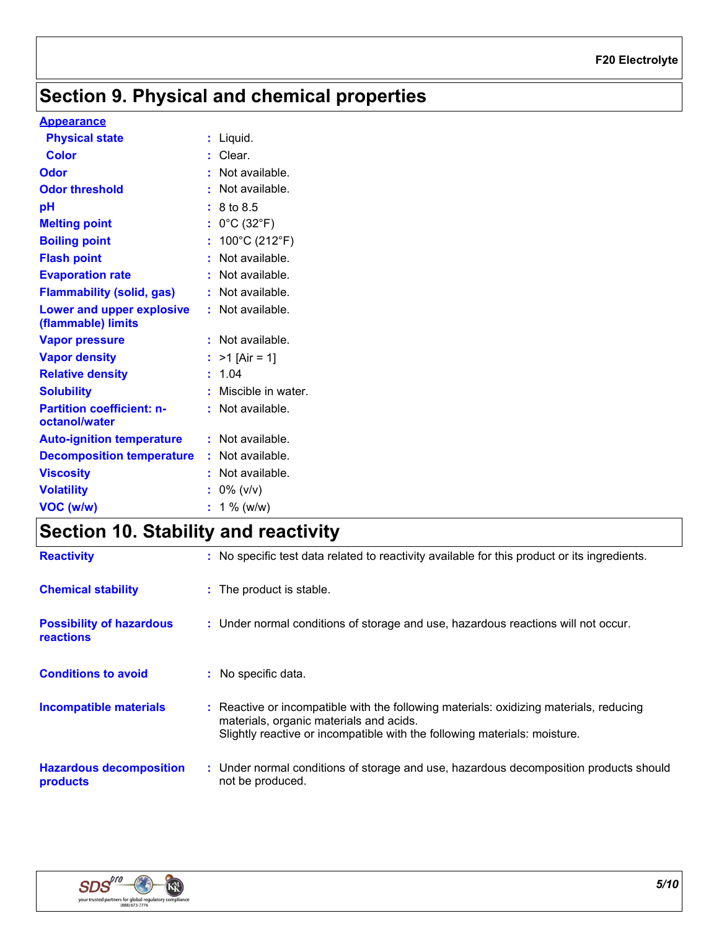# **Section 9. Physical and chemical properties**

### **Appearance**

| <b>Physical state</b>                             | $:$ Liquid.                          |
|---------------------------------------------------|--------------------------------------|
| <b>Color</b>                                      | : Clear.                             |
| Odor                                              | $:$ Not available.                   |
| <b>Odor threshold</b>                             | : Not available.                     |
| pH                                                | : 8 to 8.5                           |
| <b>Melting point</b>                              | : $0^{\circ}$ C (32 $^{\circ}$ F)    |
| <b>Boiling point</b>                              | : $100^{\circ}$ C (212 $^{\circ}$ F) |
| <b>Flash point</b>                                | : Not available.                     |
| <b>Evaporation rate</b>                           | : Not available.                     |
| <b>Flammability (solid, gas)</b>                  | : Not available.                     |
| Lower and upper explosive<br>(flammable) limits   | : Not available.                     |
| <b>Vapor pressure</b>                             | : Not available.                     |
| <b>Vapor density</b>                              | : $>1$ [Air = 1]                     |
| <b>Relative density</b>                           | : 1.04                               |
| <b>Solubility</b>                                 | : Miscible in water.                 |
| <b>Partition coefficient: n-</b><br>octanol/water | : Not available.                     |
| <b>Auto-ignition temperature</b>                  | : Not available.                     |
| <b>Decomposition temperature</b>                  | : Not available.                     |
| <b>Viscosity</b>                                  | : Not available.                     |
| <b>Volatility</b>                                 | $: 0\%$ (v/v)                        |
| VOC (w/w)                                         | $: 1\%$ (w/w)                        |

# **Section 10. Stability and reactivity**

| <b>Reactivity</b>                            | : No specific test data related to reactivity available for this product or its ingredients.                                                                                                                   |
|----------------------------------------------|----------------------------------------------------------------------------------------------------------------------------------------------------------------------------------------------------------------|
| <b>Chemical stability</b>                    | : The product is stable.                                                                                                                                                                                       |
| <b>Possibility of hazardous</b><br>reactions | : Under normal conditions of storage and use, hazardous reactions will not occur.                                                                                                                              |
| <b>Conditions to avoid</b>                   | : No specific data.                                                                                                                                                                                            |
| <b>Incompatible materials</b>                | : Reactive or incompatible with the following materials: oxidizing materials, reducing<br>materials, organic materials and acids.<br>Slightly reactive or incompatible with the following materials: moisture. |
| <b>Hazardous decomposition</b><br>products   | : Under normal conditions of storage and use, hazardous decomposition products should<br>not be produced.                                                                                                      |

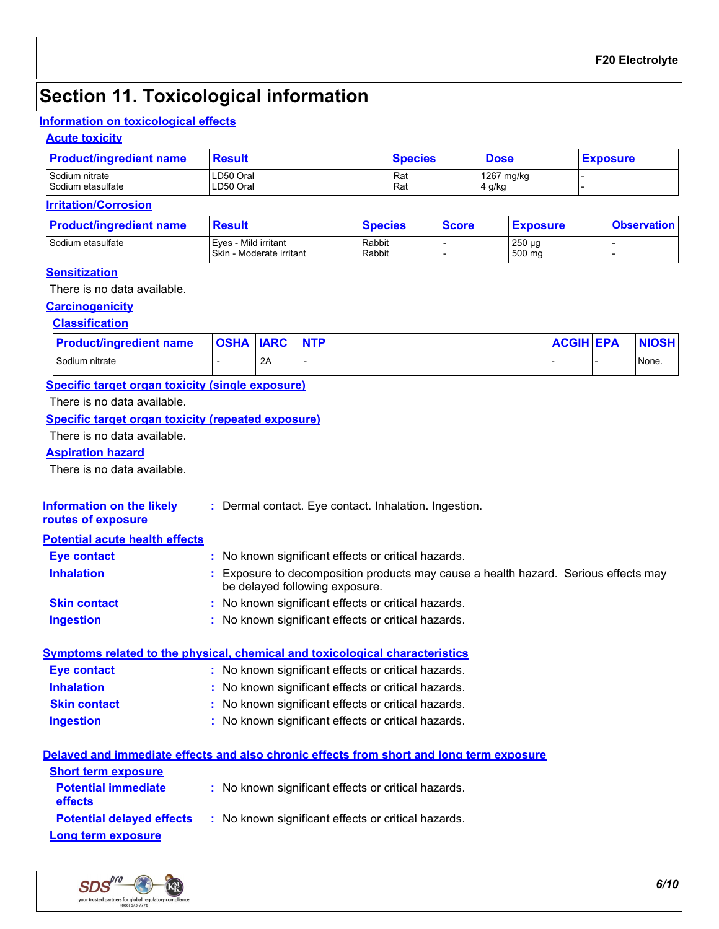# **Section 11. Toxicological information**

### **Information on toxicological effects**

### **Acute toxicity**

| <b>Product/ingredient name</b> | <b>Result</b> | <b>Species</b> | <b>Dose</b> | <b>Exposure</b> |
|--------------------------------|---------------|----------------|-------------|-----------------|
| Sodium nitrate                 | LD50 Oral     | Rat            | 1267 mg/kg  |                 |
| Sodium etasulfate              | LD50 Oral     | Rat            | 4 g/kg      |                 |

### **Irritation/Corrosion**

| <b>Product/ingredient name</b> | <b>Result</b>            | <b>Species</b> | <b>Score</b> | <b>Exposure</b> | <b>Observation</b> |
|--------------------------------|--------------------------|----------------|--------------|-----------------|--------------------|
| Sodium etasulfate              | l Eves - Mild irritant   | Rabbit         |              | $250 \mu g$     |                    |
|                                | Skin - Moderate irritant | Rabbit         |              | 500 mg          |                    |

### **Sensitization**

There is no data available.

## **Carcinogenicity**

### **Classification**

### **Specific target organ toxicity (single exposure)**

There is no data available.

### **Specific target organ toxicity (repeated exposure)**

There is no data available.

### **Aspiration hazard**

There is no data available.

| <b>Information on the likely</b><br>routes of exposure | : Dermal contact. Eye contact. Inhalation. Ingestion.                                                                 |
|--------------------------------------------------------|-----------------------------------------------------------------------------------------------------------------------|
| <b>Potential acute health effects</b>                  |                                                                                                                       |
| <b>Eye contact</b>                                     | : No known significant effects or critical hazards.                                                                   |
| <b>Inhalation</b>                                      | : Exposure to decomposition products may cause a health hazard. Serious effects may<br>be delayed following exposure. |
| <b>Skin contact</b>                                    | : No known significant effects or critical hazards.                                                                   |
| <b>Ingestion</b>                                       | : No known significant effects or critical hazards.                                                                   |

## **Symptoms related to the physical, chemical and toxicological characteristics**

| Eye contact         | : No known significant effects or critical hazards. |
|---------------------|-----------------------------------------------------|
| <b>Inhalation</b>   | : No known significant effects or critical hazards. |
| <b>Skin contact</b> | : No known significant effects or critical hazards. |
| <b>Ingestion</b>    | : No known significant effects or critical hazards. |

|                                              | Delayed and immediate effects and also chronic effects from short and long term exposure |
|----------------------------------------------|------------------------------------------------------------------------------------------|
| <b>Short term exposure</b>                   |                                                                                          |
| <b>Potential immediate</b><br><b>effects</b> | : No known significant effects or critical hazards.                                      |
| <b>Potential delayed effects</b>             | : No known significant effects or critical hazards.                                      |
| <b>Long term exposure</b>                    |                                                                                          |

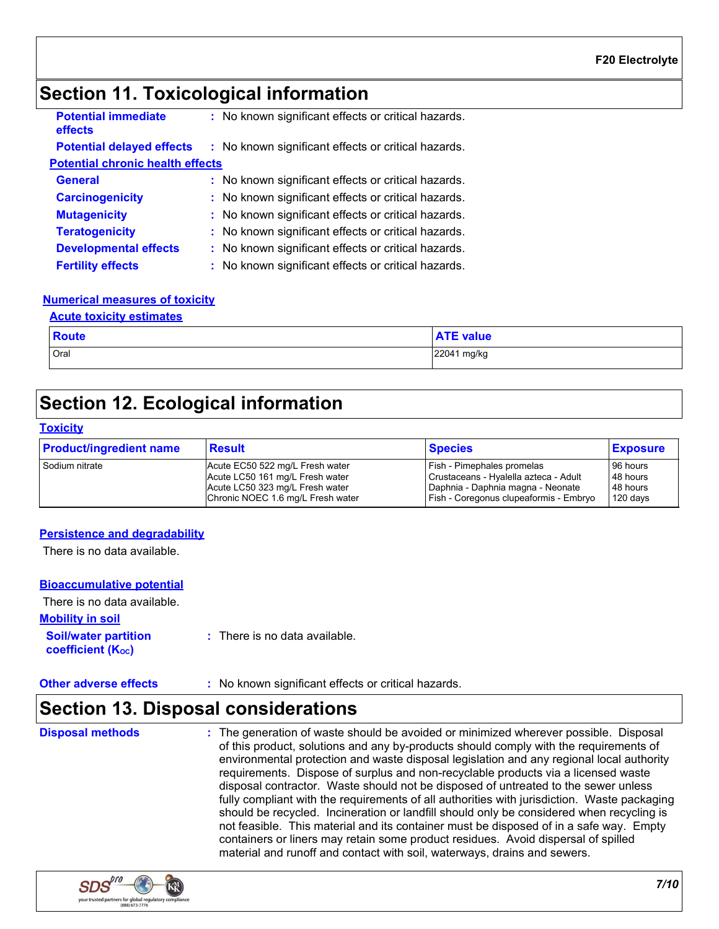# **Section 11. Toxicological information**

| <b>Potential immediate</b><br>effects   | : No known significant effects or critical hazards. |  |
|-----------------------------------------|-----------------------------------------------------|--|
| <b>Potential delayed effects</b>        | : No known significant effects or critical hazards. |  |
| <b>Potential chronic health effects</b> |                                                     |  |
| <b>General</b>                          | : No known significant effects or critical hazards. |  |
| <b>Carcinogenicity</b>                  | : No known significant effects or critical hazards. |  |
| <b>Mutagenicity</b>                     | : No known significant effects or critical hazards. |  |
| <b>Teratogenicity</b>                   | : No known significant effects or critical hazards. |  |
| <b>Developmental effects</b>            | : No known significant effects or critical hazards. |  |
| <b>Fertility effects</b>                | : No known significant effects or critical hazards. |  |

### **Numerical measures of toxicity**

#### **Acute toxicity estimates**

| <b>Route</b> | <b>ATE value</b> |
|--------------|------------------|
| Oral         | 22041 mg/kg      |

# **Section 12. Ecological information**

#### **Toxicity**

| <b>Product/ingredient name</b> | <b>Result</b>                     | <b>Species</b>                         | <b>Exposure</b> |
|--------------------------------|-----------------------------------|----------------------------------------|-----------------|
| I Sodium nitrate               | Acute EC50 522 mg/L Fresh water   | <b>Fish - Pimephales promelas</b>      | 96 hours        |
|                                | Acute LC50 161 mg/L Fresh water   | Crustaceans - Hyalella azteca - Adult  | 48 hours        |
|                                | Acute LC50 323 mg/L Fresh water   | Daphnia - Daphnia magna - Neonate      | 48 hours        |
|                                | Chronic NOEC 1.6 mg/L Fresh water | Fish - Coregonus clupeaformis - Embryo | $120$ days      |

### **Persistence and degradability**

There is no data available.

#### **Bioaccumulative potential**

| There is no data available.                             |                                          |
|---------------------------------------------------------|------------------------------------------|
| <b>Mobility in soil</b>                                 |                                          |
| <b>Soil/water partition</b><br><b>coefficient (Koc)</b> | $\therefore$ There is no data available. |

**Other adverse effects** : No known significant effects or critical hazards.

# **Section 13. Disposal considerations**

The generation of waste should be avoided or minimized wherever possible. Disposal of this product, solutions and any by-products should comply with the requirements of environmental protection and waste disposal legislation and any regional local authority requirements. Dispose of surplus and non-recyclable products via a licensed waste disposal contractor. Waste should not be disposed of untreated to the sewer unless fully compliant with the requirements of all authorities with jurisdiction. Waste packaging should be recycled. Incineration or landfill should only be considered when recycling is not feasible. This material and its container must be disposed of in a safe way. Empty containers or liners may retain some product residues. Avoid dispersal of spilled material and runoff and contact with soil, waterways, drains and sewers. **Disposal methods :**

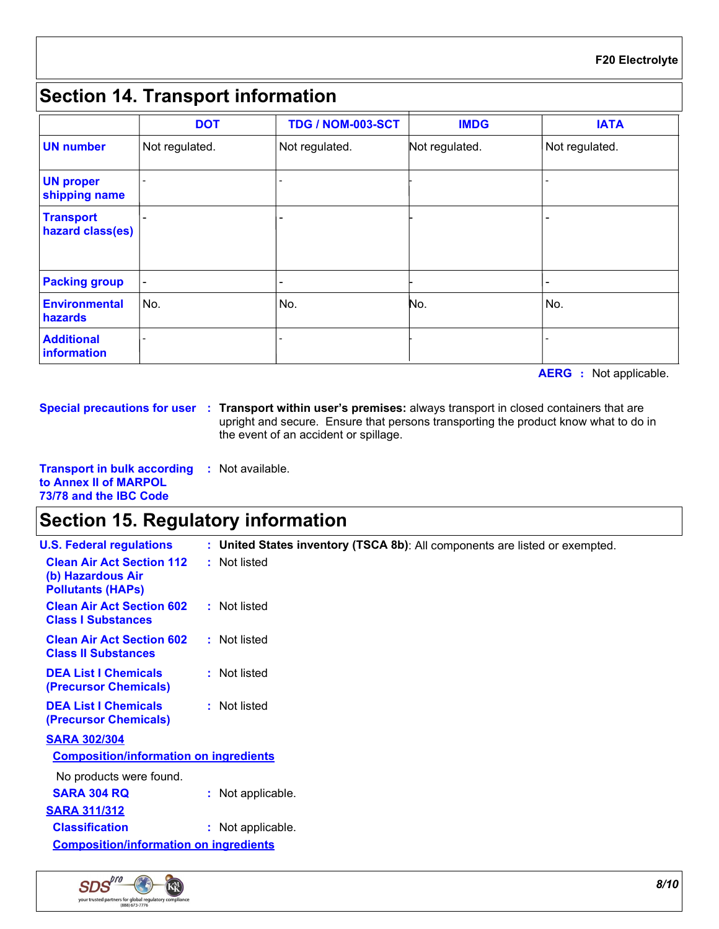# **Section 14. Transport information**

|                                      | <b>DOT</b>     | <b>TDG / NOM-003-SCT</b> | <b>IMDG</b>    | <b>IATA</b>    |
|--------------------------------------|----------------|--------------------------|----------------|----------------|
| <b>UN number</b>                     | Not regulated. | Not regulated.           | Not regulated. | Not regulated. |
| <b>UN proper</b><br>shipping name    |                |                          |                |                |
| <b>Transport</b><br>hazard class(es) |                |                          |                |                |
| <b>Packing group</b>                 |                |                          |                |                |
| <b>Environmental</b><br>hazards      | No.            | No.                      | No.            | No.            |
| <b>Additional</b><br>information     |                |                          |                |                |

**AERG :** Not applicable.

**Special precautions for user Transport within user's premises:** always transport in closed containers that are **:** upright and secure. Ensure that persons transporting the product know what to do in the event of an accident or spillage.

**Transport in bulk according :** Not available. **to Annex II of MARPOL 73/78 and the IBC Code**

# **Section 15. Regulatory information**

| <b>U.S. Federal regulations</b>                                                   | : United States inventory (TSCA 8b): All components are listed or exempted. |
|-----------------------------------------------------------------------------------|-----------------------------------------------------------------------------|
| <b>Clean Air Act Section 112</b><br>(b) Hazardous Air<br><b>Pollutants (HAPS)</b> | : Not listed                                                                |
| <b>Clean Air Act Section 602</b><br><b>Class I Substances</b>                     | : Not listed                                                                |
| <b>Clean Air Act Section 602</b><br><b>Class II Substances</b>                    | : Not listed                                                                |
| <b>DEA List I Chemicals</b><br>(Precursor Chemicals)                              | : Not listed                                                                |
| <b>DEA List I Chemicals</b><br>(Precursor Chemicals)                              | : Not listed                                                                |
| <b>SARA 302/304</b>                                                               |                                                                             |
| <b>Composition/information on ingredients</b>                                     |                                                                             |
| No products were found.                                                           |                                                                             |
| <b>SARA 304 RQ</b>                                                                | : Not applicable.                                                           |
| <b>SARA 311/312</b>                                                               |                                                                             |
| <b>Classification</b>                                                             | : Not applicable.                                                           |
| <b>Composition/information on ingredients</b>                                     |                                                                             |
|                                                                                   |                                                                             |

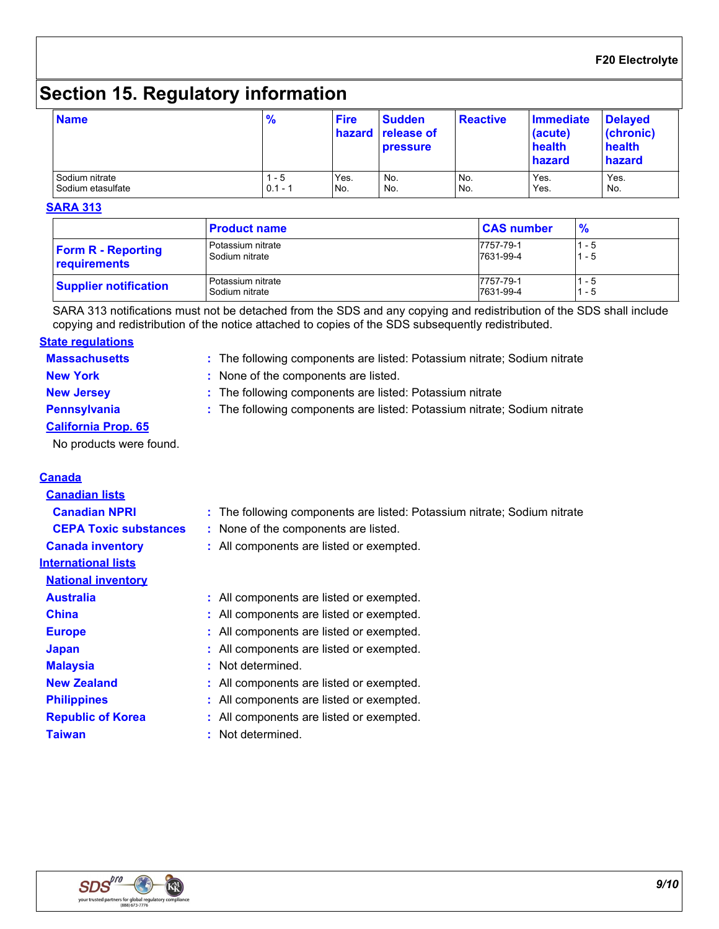# **Section 15. Regulatory information**

| <b>Name</b>       | $\frac{9}{6}$ | <b>Fire</b> | <b>Sudden</b><br>hazard release of<br><b>pressure</b> | <b>Reactive</b> | Immediate<br>(acute)<br>health<br>hazard | <b>Delayed</b><br>(chronic)<br>health<br>hazard |
|-------------------|---------------|-------------|-------------------------------------------------------|-----------------|------------------------------------------|-------------------------------------------------|
| Sodium nitrate    | - 5           | Yes.        | No.                                                   | No.             | Yes.                                     | Yes.                                            |
| Sodium etasulfate | $0.1 - 1$     | No.         | No.                                                   | No.             | Yes.                                     | No.                                             |

#### **SARA 313**

|                              | <b>Product name</b> | <b>CAS number</b> | $\frac{9}{6}$ |
|------------------------------|---------------------|-------------------|---------------|
| <b>Form R - Reporting</b>    | Potassium nitrate   | 7757-79-1         | - 5           |
| <b>requirements</b>          | Sodium nitrate      | 7631-99-4         | $-5$          |
| <b>Supplier notification</b> | Potassium nitrate   | 7757-79-1         | - 5           |
|                              | Sodium nitrate      | 7631-99-4         | - 5           |

SARA 313 notifications must not be detached from the SDS and any copying and redistribution of the SDS shall include copying and redistribution of the notice attached to copies of the SDS subsequently redistributed.

### **Massachusetts : State regulations**

| : The following components are listed: Potassium nitrate; Sodium nitrate |  |
|--------------------------------------------------------------------------|--|
|--------------------------------------------------------------------------|--|

- **New York :** None of the components are listed.
- **New Jersey :** The following components are listed: Potassium nitrate
- **Pennsylvania 19. Institute 1:** The following components are listed: Potassium nitrate; Sodium nitrate
- **California Prop. 65**

No products were found.

### **Canada**

| <b>Canadian lists</b>        |                                                                          |
|------------------------------|--------------------------------------------------------------------------|
| <b>Canadian NPRI</b>         | : The following components are listed: Potassium nitrate; Sodium nitrate |
| <b>CEPA Toxic substances</b> | : None of the components are listed.                                     |
| <b>Canada inventory</b>      | : All components are listed or exempted.                                 |
| <b>International lists</b>   |                                                                          |
| <b>National inventory</b>    |                                                                          |
| <b>Australia</b>             | : All components are listed or exempted.                                 |
| <b>China</b>                 | : All components are listed or exempted.                                 |
| <b>Europe</b>                | : All components are listed or exempted.                                 |
| <b>Japan</b>                 | : All components are listed or exempted.                                 |
| <b>Malaysia</b>              | : Not determined.                                                        |
| <b>New Zealand</b>           | : All components are listed or exempted.                                 |
| <b>Philippines</b>           | : All components are listed or exempted.                                 |
| <b>Republic of Korea</b>     | : All components are listed or exempted.                                 |
| <b>Taiwan</b>                | : Not determined.                                                        |